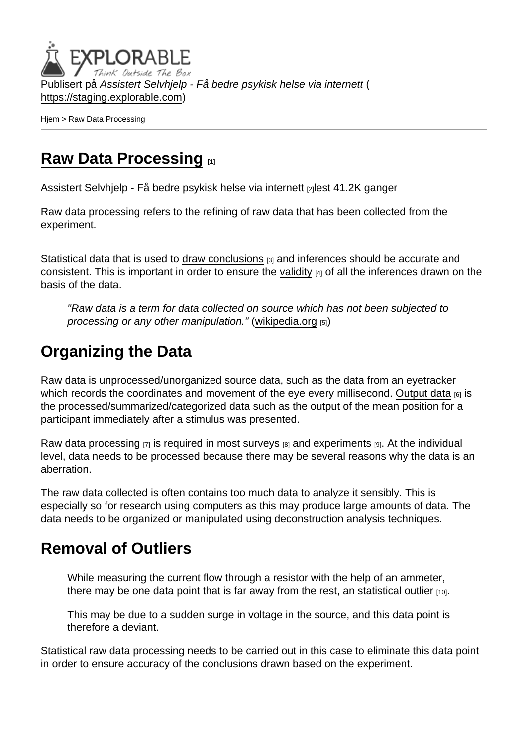Publisert på Assistert Selvhjelp - Få bedre psykisk helse via internett ( <https://staging.explorable.com>)

[Hjem](https://staging.explorable.com/) > Raw Data Processing

## [Raw Data Processing](https://staging.explorable.com/node/733) [1]

[Assistert Selvhjelp - Få bedre psykisk helse via internett](https://staging.explorable.com/en) [2]lest 41.2K ganger

Raw data processing refers to the refining of raw data that has been collected from the experiment.

Statistical data that is used to [draw conclusions](https://staging.explorable.com/drawing-conclusions)  $[3]$  and inferences should be accurate and consistent. This is important in order to ensure the [validity](https://staging.explorable.com/types-of-validity)  $[4]$  of all the inferences drawn on the basis of the data.

"Raw data is a term for data collected on source which has not been subjected to processing or any other manipulation." ([wikipedia.org](http://en.wikipedia.org/wiki/Raw_data) [5])

## Organizing the Data

Raw data is unprocessed/unorganized source data, such as the data from an eyetracker which records the coordinates and movement of the eye every millisecond. [Output data](https://staging.explorable.com/data-output) [6] is the processed/summarized/categorized data such as the output of the mean position for a participant immediately after a stimulus was presented.

[Raw data processing](http://www.statcan.gc.ca/edu/power-pouvoir/ch3/editing-edition/5214781-eng.htm)  $[7]$  is required in most [surveys](https://staging.explorable.com/survey-research-design)  $[8]$  and [experiments](https://staging.explorable.com/experimental-research)  $[9]$ . At the individual level, data needs to be processed because there may be several reasons why the data is an aberration.

The raw data collected is often contains too much data to analyze it sensibly. This is especially so for research using computers as this may produce large amounts of data. The data needs to be organized or manipulated using deconstruction analysis techniques.

## Removal of Outliers

While measuring the current flow through a resistor with the help of an ammeter, there may be one data point that is far away from the rest, an [statistical outlier](https://staging.explorable.com/statistical-outliers)  $[10]$ .

This may be due to a sudden surge in voltage in the source, and this data point is therefore a deviant.

Statistical raw data processing needs to be carried out in this case to eliminate this data point in order to ensure accuracy of the conclusions drawn based on the experiment.